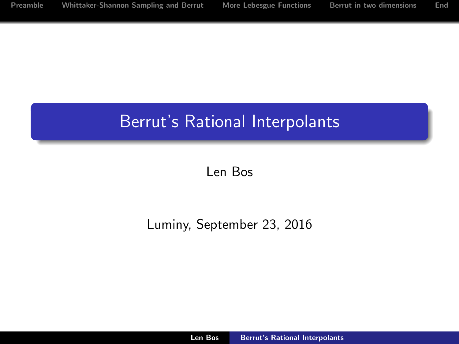# Berrut's Rational Interpolants

<span id="page-0-0"></span>Len Bos

Luminy, September 23, 2016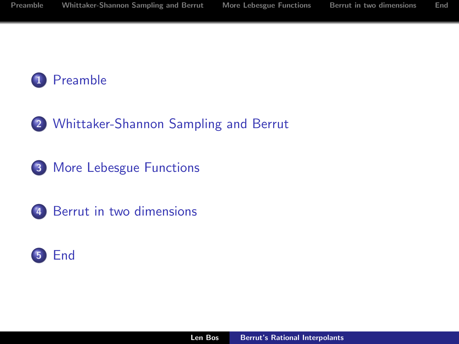

- [Whittaker-Shannon Sampling and Berrut](#page-8-0)
- [More Lebesgue Functions](#page-23-0)
- [Berrut in two dimensions](#page-30-0)

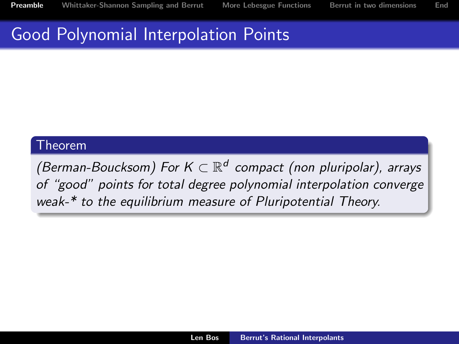#### Good Polynomial Interpolation Points

#### Theorem

<span id="page-2-0"></span>(Berman-Boucksom) For  $K \subset \mathbb{R}^d$  compact (non pluripolar), arrays of "good" points for total degree polynomial interpolation converge weak-\* to the equilibrium measure of Pluripotential Theory.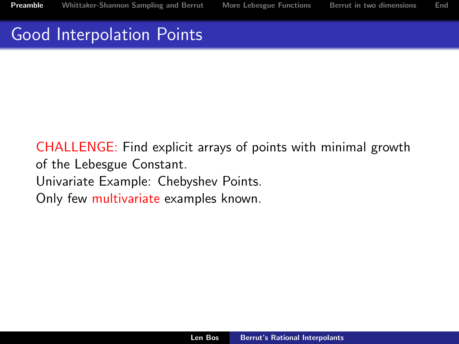## Good Interpolation Points

CHALLENGE: Find explicit arrays of points with minimal growth of the Lebesgue Constant. Univariate Example: Chebyshev Points. Only few multivariate examples known.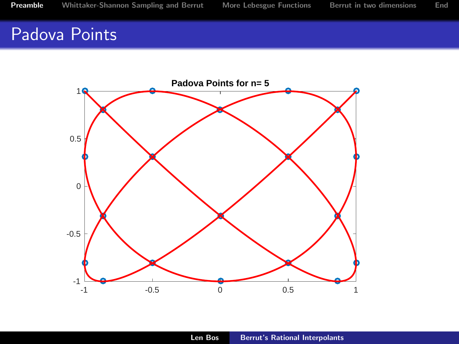## Padova Points

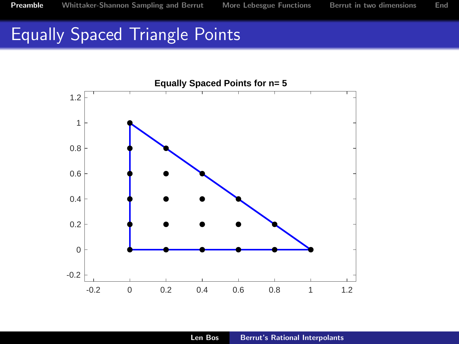## Equally Spaced Triangle Points

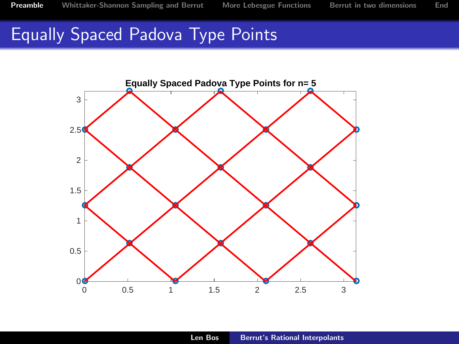## Equally Spaced Padova Type Points

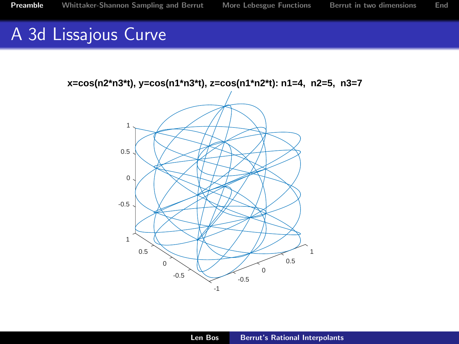## A 3d Lissajous Curve

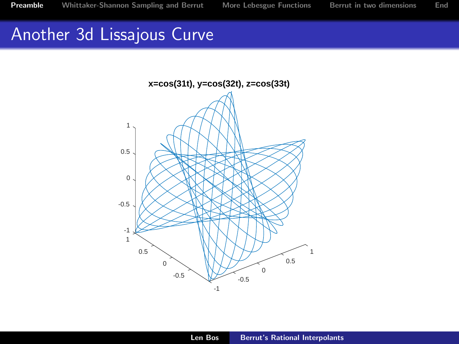## Another 3d Lissajous Curve

<span id="page-8-0"></span>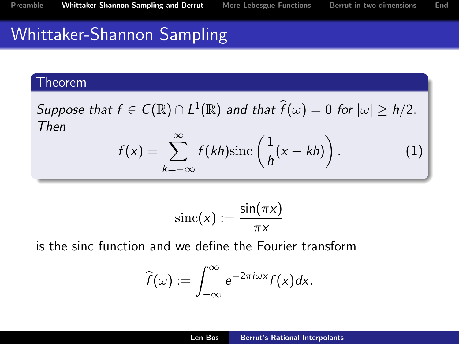## Whittaker-Shannon Sampling

#### Theorem

Suppose that  $f \in C(\mathbb{R}) \cap L^1(\mathbb{R})$  and that  $\widehat{f}(\omega) = 0$  for  $|\omega| \geq h/2$ . Then

<span id="page-9-0"></span>
$$
f(x) = \sum_{k=-\infty}^{\infty} f(kh) \operatorname{sinc}\left(\frac{1}{h}(x - kh)\right). \tag{1}
$$

$$
\operatorname{sinc}(x) := \frac{\sin(\pi x)}{\pi x}
$$

is the sinc function and we define the Fourier transform

$$
\widehat{f}(\omega) := \int_{-\infty}^{\infty} e^{-2\pi i \omega x} f(x) dx.
$$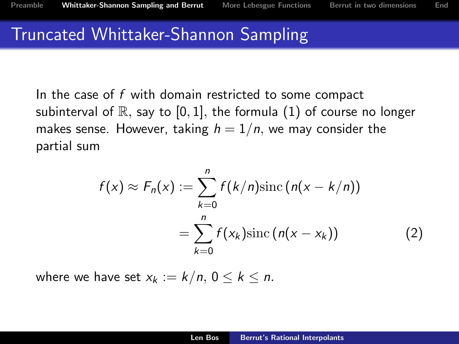#### Truncated Whittaker-Shannon Sampling

In the case of  $f$  with domain restricted to some compact subinterval of  $\mathbb R$ , say to [0, 1], the formula [\(1\)](#page-9-0) of course no longer makes sense. However, taking  $h = 1/n$ , we may consider the partial sum

<span id="page-10-0"></span>
$$
f(x) \approx F_n(x) := \sum_{k=0}^n f(k/n) \operatorname{sinc} (n(x - k/n))
$$

$$
= \sum_{k=0}^n f(x_k) \operatorname{sinc} (n(x - x_k)) \tag{2}
$$

where we have set  $x_k := k/n$ ,  $0 \leq k \leq n$ .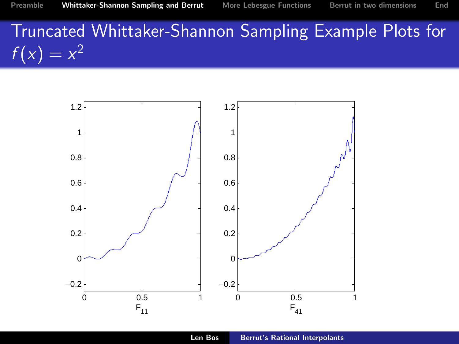# Truncated Whittaker-Shannon Sampling Example Plots for  $f(x) = x^2$

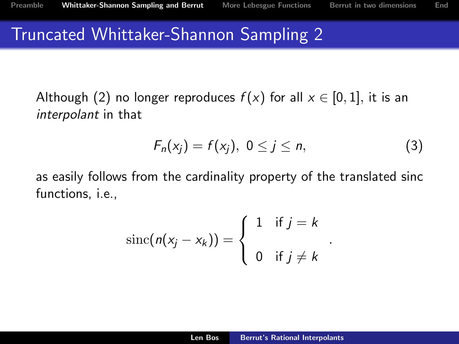#### Truncated Whittaker-Shannon Sampling 2

Although [\(2\)](#page-10-0) no longer reproduces  $f(x)$  for all  $x \in [0,1]$ , it is an interpolant in that

$$
F_n(x_j) = f(x_j), \ 0 \le j \le n,
$$
\n(3)

.

as easily follows from the cardinality property of the translated sinc functions, i.e.,

$$
\operatorname{sinc}(n(x_j - x_k)) = \begin{cases} 1 & \text{if } j = k \\ 0 & \text{if } j \neq k \end{cases}
$$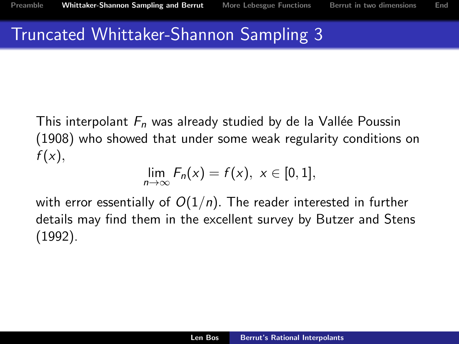#### Truncated Whittaker-Shannon Sampling 3

This interpolant  $F_n$  was already studied by de la Vallée Poussin (1908) who showed that under some weak regularity conditions on  $f(x)$ ,

$$
\lim_{n\to\infty}F_n(x)=f(x),\,\,x\in[0,1],
$$

with error essentially of  $O(1/n)$ . The reader interested in further details may find them in the excellent survey by Butzer and Stens (1992).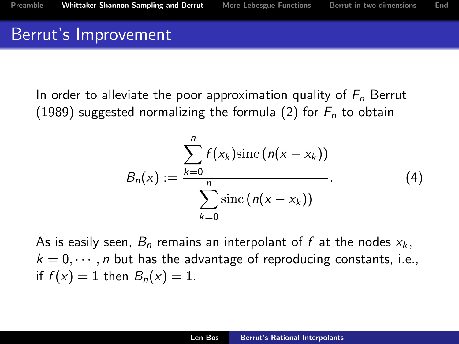#### Berrut's Improvement

In order to alleviate the poor approximation quality of  $F_n$  Berrut (1989) suggested normalizing the formula [\(2\)](#page-10-0) for  $F_n$  to obtain

$$
B_n(x) := \frac{\sum_{k=0}^n f(x_k) \operatorname{sinc} (n(x - x_k))}{\sum_{k=0}^n \operatorname{sinc} (n(x - x_k))}.
$$
 (4)

As is easily seen,  $B_n$  remains an interpolant of f at the nodes  $x_k$ ,  $k = 0, \dots, n$  but has the advantage of reproducing constants, i.e., if  $f(x) = 1$  then  $B_n(x) = 1$ .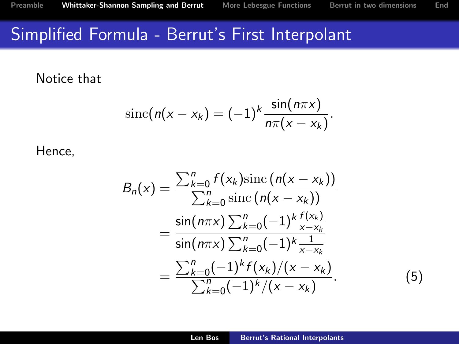#### Simplified Formula - Berrut's First Interpolant

Notice that

$$
\operatorname{sinc}(n(x-x_k)=(-1)^k\frac{\sin(n\pi x)}{n\pi(x-x_k)}.
$$

Hence,

$$
B_n(x) = \frac{\sum_{k=0}^n f(x_k) \operatorname{sinc} (n(x - x_k))}{\sum_{k=0}^n \operatorname{sinc} (n(x - x_k))}
$$
  
= 
$$
\frac{\sin(n\pi x) \sum_{k=0}^n (-1)^k \frac{f(x_k)}{x - x_k}}{\sin(n\pi x) \sum_{k=0}^n (-1)^k \frac{1}{x - x_k}}
$$
  
= 
$$
\frac{\sum_{k=0}^n (-1)^k f(x_k) / (x - x_k)}{\sum_{k=0}^n (-1)^k / (x - x_k)}.
$$
(5)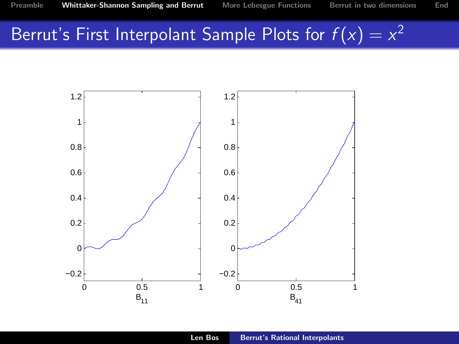# Berrut's First Interpolant Sample Plots for  $f(x) = x^2$

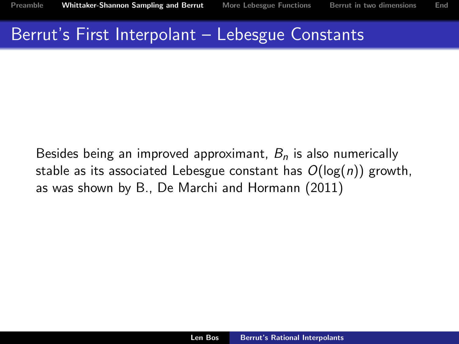#### Berrut's First Interpolant – Lebesgue Constants

Besides being an improved approximant,  $B_n$  is also numerically stable as its associated Lebesgue constant has  $O(log(n))$  growth, as was shown by B., De Marchi and Hormann (2011)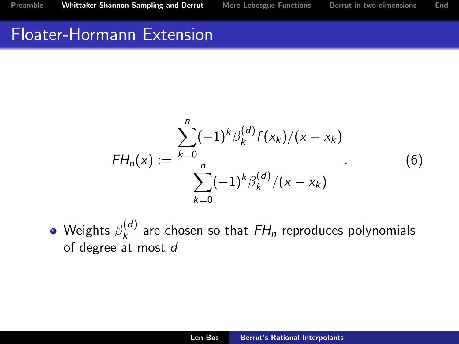#### Floater-Hormann Extension

$$
FH_n(x) := \frac{\sum_{k=0}^n (-1)^k \beta_k^{(d)} f(x_k)/(x - x_k)}{\sum_{k=0}^n (-1)^k \beta_k^{(d)}/(x - x_k)}.
$$
 (6)

Weights  $\beta_k^{(d)}$  $\kappa_k^{(a)}$  are chosen so that  $FH_n$  reproduces polynomials of degree at most d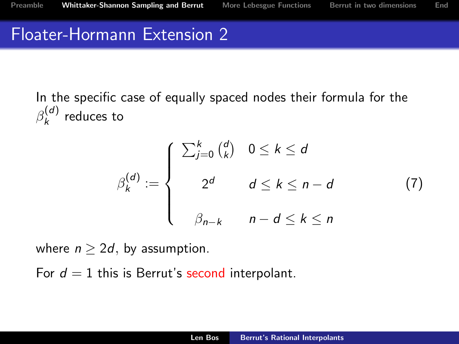#### Floater-Hormann Extension 2

In the specific case of equally spaced nodes their formula for the  $\beta_k^{(d)}$  $\binom{u}{k}$  reduces to

<span id="page-19-0"></span>
$$
\beta_k^{(d)} := \begin{cases}\n\sum_{j=0}^k {d \choose k} & 0 \le k \le d \\
2^d & d \le k \le n - d \\
\beta_{n-k} & n - d \le k \le n\n\end{cases}
$$
\n(7)

where  $n \geq 2d$ , by assumption.

For  $d = 1$  this is Berrut's second interpolant.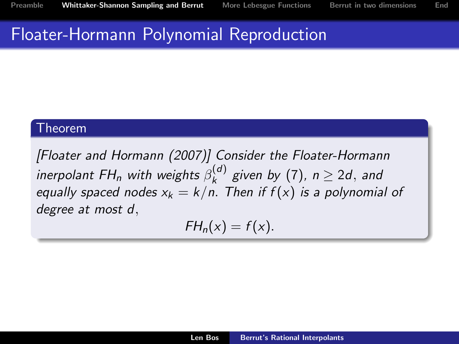#### Floater-Hormann Polynomial Reproduction

#### Theorem

[Floater and Hormann (2007)] Consider the Floater-Hormann inerpolant FH<sub>n</sub> with weights  $\beta_k^{(d)}$  $\kappa_k^{(a)}$  given by [\(7\)](#page-19-0),  $n \geq 2d$ , and equally spaced nodes  $x_k = k/n$ . Then if  $f(x)$  is a polynomial of degree at most d,

$$
FH_n(x) = f(x).
$$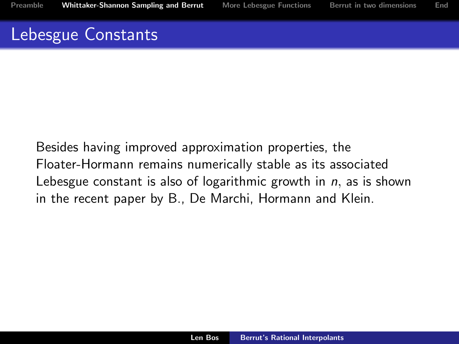#### Lebesgue Constants

Besides having improved approximation properties, the Floater-Hormann remains numerically stable as its associated Lebesgue constant is also of logarithmic growth in  $n$ , as is shown in the recent paper by B., De Marchi, Hormann and Klein.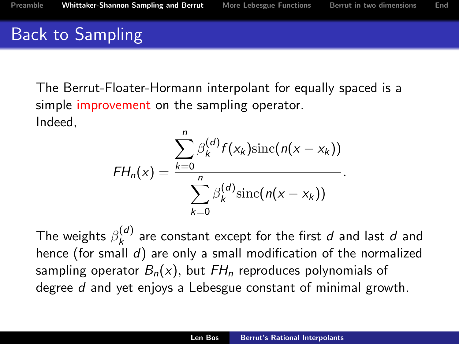## Back to Sampling

The Berrut-Floater-Hormann interpolant for equally spaced is a simple improvement on the sampling operator.

Indeed,

$$
FH_n(x) = \frac{\sum_{k=0}^n \beta_k^{(d)} f(x_k) \operatorname{sinc}(n(x - x_k))}{\sum_{k=0}^n \beta_k^{(d)} \operatorname{sinc}(n(x - x_k))}.
$$

The weights  $\beta_k^{(d)}$  $\kappa_k^{(a)}$  are constant except for the first  $d$  and last  $d$  and hence (for small  $d$ ) are only a small modification of the normalized sampling operator  $B_n(x)$ , but  $FH_n$  reproduces polynomials of degree d and yet enjoys a Lebesgue constant of minimal growth.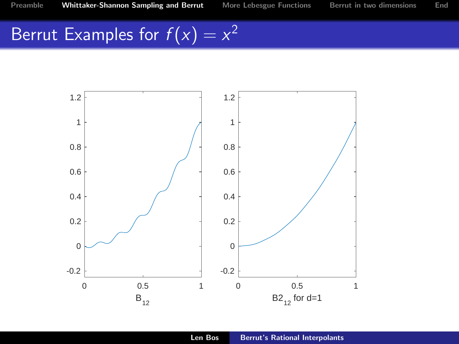# Berrut Examples for  $f(x) = x^2$

<span id="page-23-0"></span>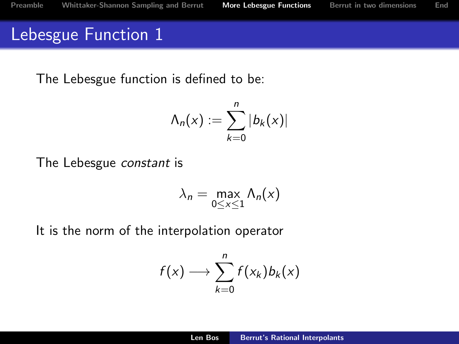## Lebesgue Function 1

The Lebesgue function is defined to be:

$$
\Lambda_n(x) := \sum_{k=0}^n |b_k(x)|
$$

The Lebesgue constant is

$$
\lambda_n = \max_{0 \le x \le 1} \Lambda_n(x)
$$

It is the norm of the interpolation operator

$$
f(x) \longrightarrow \sum_{k=0}^n f(x_k) b_k(x)
$$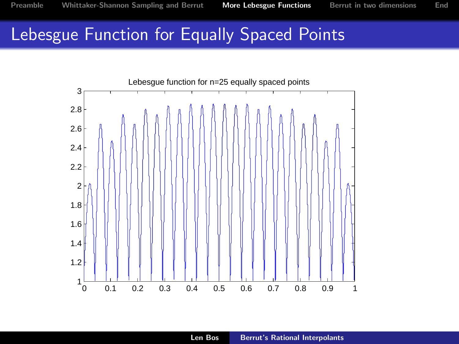#### Lebesgue Function for Equally Spaced Points

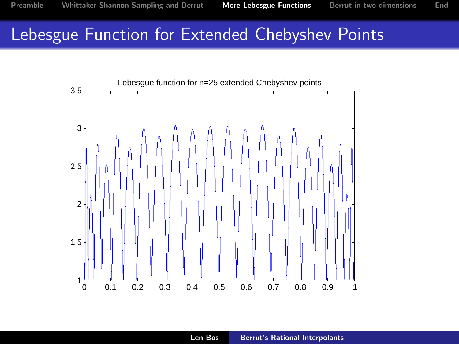## Lebesgue Function for Extended Chebyshev Points

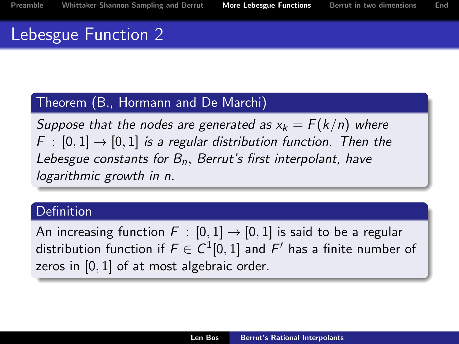## Lebesgue Function 2

#### Theorem (B., Hormann and De Marchi)

Suppose that the nodes are generated as  $x_k = F(k/n)$  where  $F : [0, 1] \rightarrow [0, 1]$  is a regular distribution function. Then the Lebesgue constants for  $B_n$ , Berrut's first interpolant, have logarithmic growth in n.

#### **Definition**

An increasing function  $F : [0,1] \rightarrow [0,1]$  is said to be a regular distribution function if  $F\in C^1[0,1]$  and  $F'$  has a finite number of zeros in [0, 1] of at most algebraic order.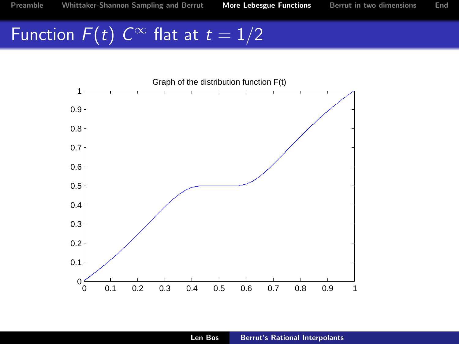# Function  $F(t)$   $C^{\infty}$  flat at  $t=1/2$

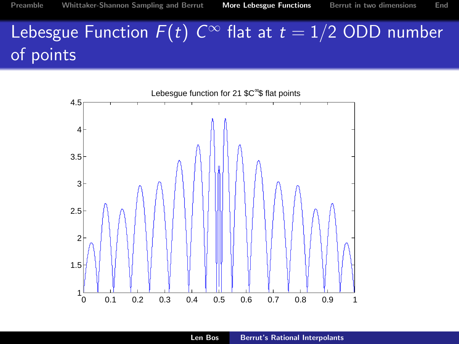# Lebesgue Function  $F(t)$   $C^\infty$  flat at  $t=1/2$  ODD number of points

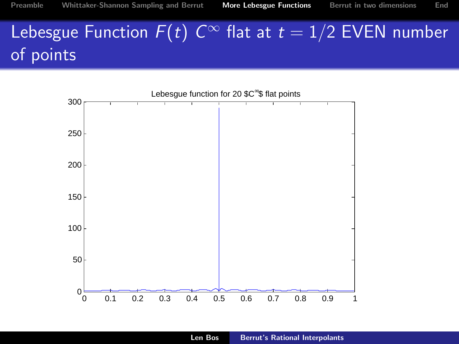# Lebesgue Function  $F(t)$   $C^\infty$  flat at  $t=1/2$  EVEN number of points

<span id="page-30-0"></span>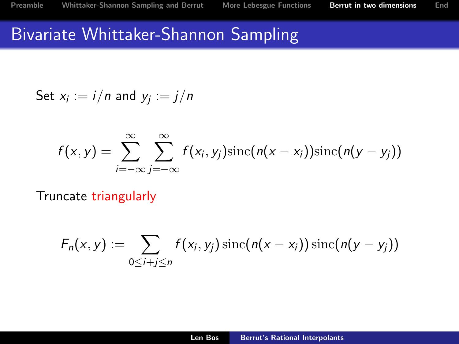#### Bivariate Whittaker-Shannon Sampling

Set 
$$
x_i := i/n
$$
 and  $y_j := j/n$ 

$$
f(x,y) = \sum_{i=-\infty}^{\infty} \sum_{j=-\infty}^{\infty} f(x_i, y_j) \operatorname{sinc}(n(x-x_i)) \operatorname{sinc}(n(y-y_j))
$$

Truncate triangularly

$$
F_n(x,y) := \sum_{0 \leq i+j \leq n} f(x_i,y_j) \operatorname{sinc}(n(x-x_i)) \operatorname{sinc}(n(y-y_j))
$$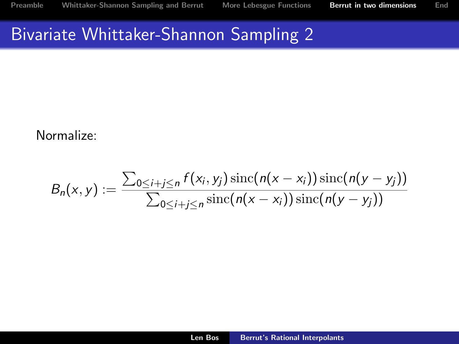#### Bivariate Whittaker-Shannon Sampling 2

#### Normalize:

$$
B_n(x,y) := \frac{\sum_{0 \le i+j \le n} f(x_i, y_j) \operatorname{sinc}(n(x-x_i)) \operatorname{sinc}(n(y-y_j))}{\sum_{0 \le i+j \le n} \operatorname{sinc}(n(x-x_i)) \operatorname{sinc}(n(y-y_j))}
$$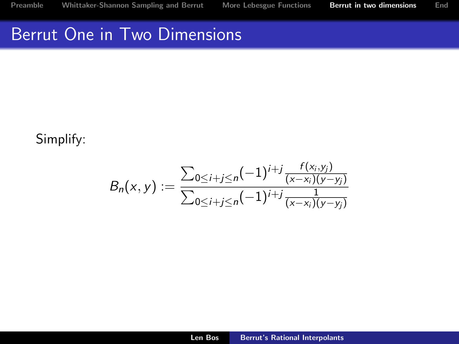#### Berrut One in Two Dimensions

Simplify:

$$
B_n(x,y) := \frac{\sum_{0 \le i+j \le n} (-1)^{i+j} \frac{f(x_i,y_j)}{(x-x_i)(y-y_j)}}{\sum_{0 \le i+j \le n} (-1)^{i+j} \frac{1}{(x-x_i)(y-y_j)}}
$$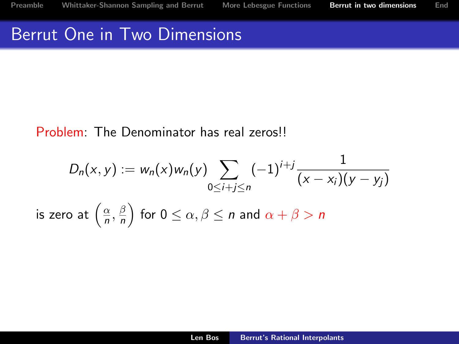#### Berrut One in Two Dimensions

#### Problem: The Denominator has real zeros!!

$$
D_n(x, y) := w_n(x)w_n(y) \sum_{0 \le i+j \le n} (-1)^{i+j} \frac{1}{(x - x_i)(y - y_j)}
$$
  
is zero at  $\left(\frac{\alpha}{n}, \frac{\beta}{n}\right)$  for  $0 \le \alpha, \beta \le n$  and  $\alpha + \beta > n$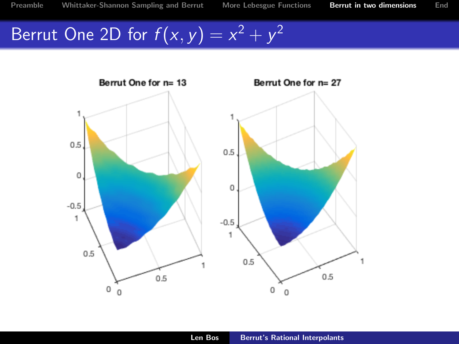[Preamble](#page-2-0) [Whittaker-Shannon Sampling and Berrut](#page-8-0) [More Lebesgue Functions](#page-23-0) [Berrut in two dimensions](#page-30-0) [End](#page-36-0)

# Berrut One 2D for  $f(x, y) = x^2 + y^2$

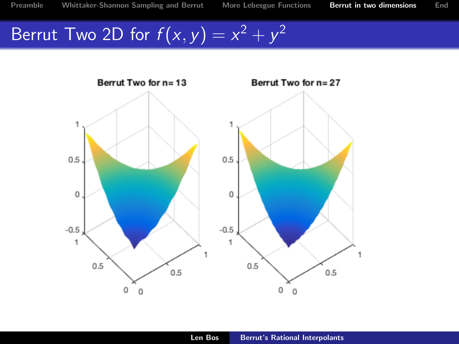[Preamble](#page-2-0) [Whittaker-Shannon Sampling and Berrut](#page-8-0) [More Lebesgue Functions](#page-23-0) [Berrut in two dimensions](#page-30-0) [End](#page-36-0)

# Berrut Two 2D for  $f(x, y) = x^2 + y^2$

<span id="page-36-0"></span>